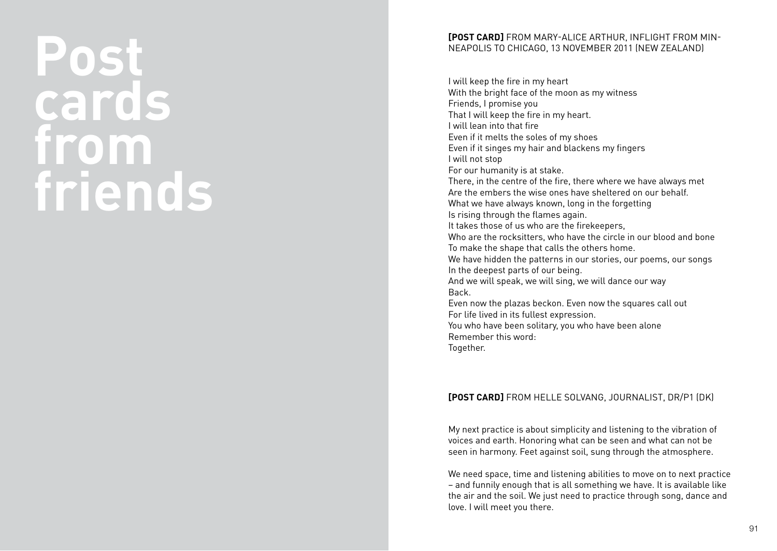# **Post cards from friends**

#### **[post card]** from Mary-Alice Arthur, Inflight from Min neapolis to Chicago, 13 November 2011 ( New Zealand)

I will keep the fire in my heart With the bright face of the moon as my witness Friends, I promise you That I will keep the fire in my heart. I will lean into that fire Even if it melts the soles of my shoes Even if it singes my hair and blackens my fingers I will not stop For our humanity is at stake. There, in the centre of the fire, there where we have always met Are the embers the wise ones have sheltered on our behalf What we have always known, long in the forgetting Is rising through the flames again. It takes those of us who are the firekeepers, Who are the rocksitters, who have the circle in our blood and bone To make the shape that calls the others home. We have hidden the patterns in our stories, our poems, our songs<br>In the deepest parts of our being. And we will speak, we will sing, we will dance our way Back. Even now the plazas beckon. Even now the squares call out For life lived in its fullest expression. You who have been solitary, you who have been alone Remember this word: Together.

### **[POST CARD]** FROM HELLE SOLVANG, JOURNALIST, DR/P1 (DK)

My next practice is about simplicity and listening to the vibration of voices and earth. Honoring what can be seen and what can not be seen in harmony. Feet against soil, sung through the atmosphere.

We need space, time and listening abilities to move on to next practice – and funnily enough that is all something we have. It is available like the air and the soil. We just need to practice through song, dance and love. I will meet you there.